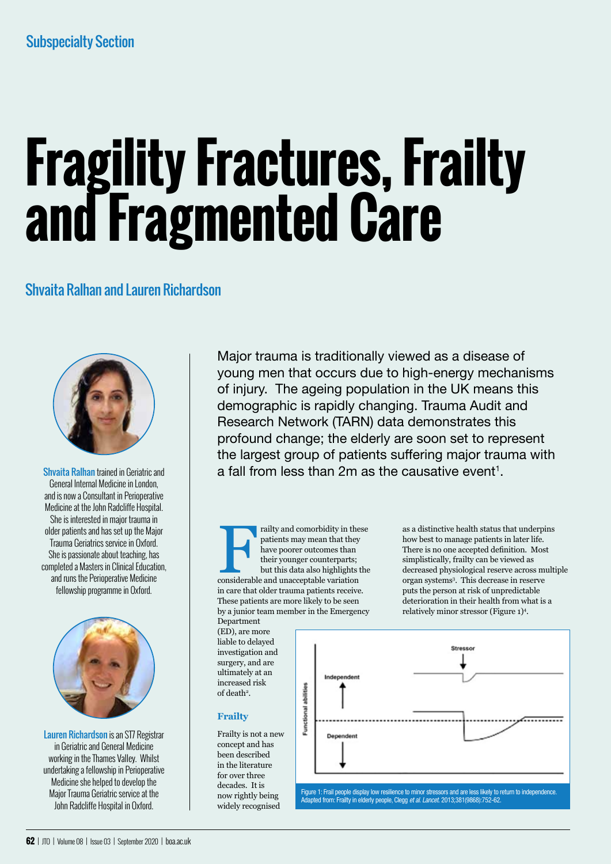# **Fragility Fractures, Frailty and Fragmented Care**

## Shvaita Ralhan and Lauren Richardson



Shvaita Ralhan trained in Geriatric and General Internal Medicine in London, and is now a Consultant in Perioperative Medicine at the John Radcliffe Hospital. She is interested in major trauma in older patients and has set up the Major Trauma Geriatrics service in Oxford. She is passionate about teaching, has completed a Masters in Clinical Education, and runs the Perioperative Medicine fellowship programme in Oxford.



Lauren Richardson is an ST7 Registrar in Geriatric and General Medicine working in the Thames Valley. Whilst undertaking a fellowship in Perioperative Medicine she helped to develop the Major Trauma Geriatric service at the John Radcliffe Hospital in Oxford.

Major trauma is traditionally viewed as a disease of young men that occurs due to high-energy mechanisms of injury. The ageing population in the UK means this demographic is rapidly changing. Trauma Audit and Research Network (TARN) data demonstrates this profound change; the elderly are soon set to represent the largest group of patients suffering major trauma with a fall from less than 2m as the causative event $^{\text{\tiny{\text{1}}}}$ .

Frailty and comorbidity in these patients may mean that they have poorer outcomes than their younger counterparts; but this data also highlights the considerable and unacceptable variation patients may mean that they have poorer outcomes than their younger counterparts; but this data also highlights the in care that older trauma patients receive. These patients are more likely to be seen by a junior team member in the Emergency

Department (ED), are more liable to delayed investigation and surgery, and are ultimately at an increased risk of death<sup>2</sup>.

## **Frailty**

Frailty is not a new concept and has been described in the literature for over three decades. It is now rightly being widely recognised

as a distinctive health status that underpins how best to manage patients in later life. There is no one accepted definition. Most simplistically, frailty can be viewed as decreased physiological reserve across multiple organ systems3 . This decrease in reserve puts the person at risk of unpredictable deterioration in their health from what is a relatively minor stressor (Figure 1)4 .



Adapted from: Frailty in elderly people, Clegg *et al. Lancet.* 2013;381(9868):752-62.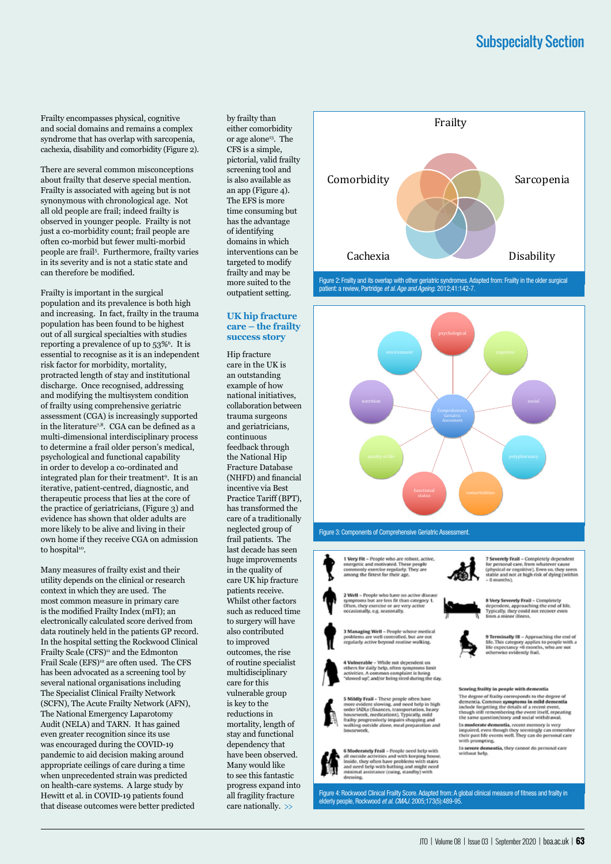Frailty encompasses physical, cognitive and social domains and remains a complex syndrome that has overlap with sarcopenia, cachexia, disability and comorbidity (Figure 2).

There are several common misconceptions about frailty that deserve special mention. Frailty is associated with ageing but is not synonymous with chronological age. Not all old people are frail; indeed frailty is observed in younger people. Frailty is not just a co-morbidity count; frail people are often co-morbid but fewer multi-morbid people are frail5 . Furthermore, frailty varies in its severity and is not a static state and can therefore be modified.

Frailty is important in the surgical population and its prevalence is both high and increasing. In fact, frailty in the trauma population has been found to be highest out of all surgical specialties with studies reporting a prevalence of up to 53%<sup>6</sup>. It is essential to recognise as it is an independent risk factor for morbidity, mortality, protracted length of stay and institutional discharge. Once recognised, addressing and modifying the multisystem condition of frailty using comprehensive geriatric assessment (CGA) is increasingly supported in the literature<sup>7,8</sup>. CGA can be defined as a multi-dimensional interdisciplinary process to determine a frail older person's medical, psychological and functional capability in order to develop a co-ordinated and integrated plan for their treatment9 . It is an iterative, patient-centred, diagnostic, and therapeutic process that lies at the core of the practice of geriatricians, (Figure 3) and evidence has shown that older adults are more likely to be alive and living in their own home if they receive CGA on admission to hospital<sup>10</sup>.

Many measures of frailty exist and their utility depends on the clinical or research context in which they are used. The most common measure in primary care is the modified Frailty Index (mFI); an electronically calculated score derived from data routinely held in the patients GP record. In the hospital setting the Rockwood Clinical Frailty Scale (CFS)<sup>11</sup> and the Edmonton Frail Scale (EFS)<sup>12</sup> are often used. The CFS has been advocated as a screening tool by several national organisations including The Specialist Clinical Frailty Network (SCFN), The Acute Frailty Network (AFN), The National Emergency Laparotomy Audit (NELA) and TARN. It has gained even greater recognition since its use was encouraged during the COVID-19 pandemic to aid decision making around appropriate ceilings of care during a time when unprecedented strain was predicted on health-care systems. A large study by Hewitt et al. in COVID-19 patients found that disease outcomes were better predicted

by frailty than either comorbidity or age alone<sup>13</sup>. The CFS is a simple, pictorial, valid frailty screening tool and is also available as an app (Figure 4). The EFS is more time consuming but has the advantage of identifying domains in which interventions can be targeted to modify frailty and may be more suited to the outpatient setting.

### **UK hip fracture care – the frailty success story**

Hip fracture care in the UK is an outstanding example of how national initiatives, collaboration between trauma surgeons and geriatricians, continuous feedback through the National Hip Fracture Database (NHFD) and financial incentive via Best Practice Tariff (BPT), has transformed the care of a traditionally neglected group of frail patients. The last decade has seen huge improvements in the quality of care UK hip fracture patients receive. Whilst other factors such as reduced time to surgery will have also contributed to improved outcomes, the rise of routine specialist multidisciplinary care for this vulnerable group is key to the reductions in mortality, length of stay and functional dependency that have been observed. Many would like to see this fantastic progress expand into all fragility fracture care nationally. >>



Figure 2: Frailty and its overlap with other geriatric syndromes. Adapted from: Frailty in the older surgical patient: a review, Partridge *et al. Age and Ageing.* 2012;41:142-7.



Figure 3: Components of Comprehensive Geriatric Assessment.

1 Very Fit - People who are robust, active,<br>energetic and motivated. These people<br>commonly exercise regularly. They are<br>among the fittest for their age.



2 Well - People who have no active dis<br>symptoms but are less fit than category<br>Often, they exercise or are very active<br>occasionally, e.g. seasonally.

3 Managing Well – People whose medical<br>problems are well controlled, but are not<br>regularly active beyond routine walking.

4 Vulnerable - While not dependent on<br>others for daily help, often symptoms limit<br>activities. A common complaint is being<br>"slowed up", and/or being tired during the day



**6 Moderately Frail** – People need help with all outside activities and with keeping house<br>Inside, they often have problems with stairs and need help with bathing and might need<br>minimal assistance (cuing, standby) with

Figure 4: Rockwood Clinical Frailty Score. Adapted from: A global clinical measure of fitness and frailty in elderly people, Rockwood *et al. CMAJ.* 2005;173(5):489-95.



8 Very Severely Frail = Completely<br>dependent, approaching the end of life.<br>Typically, they could not recover even<br>from a minor illness.



9 Terminally III - Approaching the end of<br>life. This category applies to people with a<br>life expectancy <6 months, who are not<br>otherwise evidently frail.

#### Scoring frailty in people with dementia

seesing many in proper wind community<br>The degree of frailty cerresponds to the degree of<br>dementia, Common symptoms in mild dementia<br>include forgetting the details of a recent event,<br>though still remembering the event itsel In moderate dementia, recent memory is very<br>limpaired, even though they seemingly can remembe<br>their past life events well. They can do personal care

with prompting. In severe dementia, they cannot do personal care<br>without help.